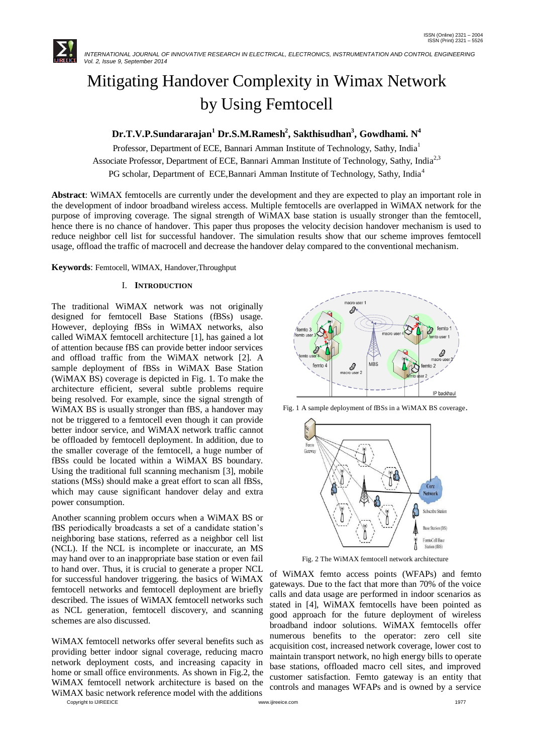

# Mitigating Handover Complexity in Wimax Network by Using Femtocell

## **Dr.T.V.P.Sundararajan<sup>1</sup> Dr.S.M.Ramesh<sup>2</sup> , Sakthisudhan<sup>3</sup> , Gowdhami. N 4**

Professor, Department of ECE, Bannari Amman Institute of Technology, Sathy, India<sup>1</sup> Associate Professor, Department of ECE, Bannari Amman Institute of Technology, Sathy, India<sup>2,3</sup> PG scholar, Department of ECE,Bannari Amman Institute of Technology, Sathy, India<sup>4</sup>

**Abstract**: WiMAX femtocells are currently under the development and they are expected to play an important role in the development of indoor broadband wireless access. Multiple femtocells are overlapped in WiMAX network for the purpose of improving coverage. The signal strength of WiMAX base station is usually stronger than the femtocell, hence there is no chance of handover. This paper thus proposes the velocity decision handover mechanism is used to reduce neighbor cell list for successful handover. The simulation results show that our scheme improves femtocell usage, offload the traffic of macrocell and decrease the handover delay compared to the conventional mechanism.

**Keywords**: Femtocell, WIMAX, Handover,Throughput

## I. **INTRODUCTION**

The traditional WiMAX network was not originally designed for femtocell Base Stations (fBSs) usage. However, deploying fBSs in WiMAX networks, also called WiMAX femtocell architecture [1], has gained a lot of attention because fBS can provide better indoor services and offload traffic from the WiMAX network [2]. A sample deployment of fBSs in WiMAX Base Station (WiMAX BS) coverage is depicted in Fig. 1. To make the architecture efficient, several subtle problems require being resolved. For example, since the signal strength of WiMAX BS is usually stronger than fBS, a handover may not be triggered to a femtocell even though it can provide better indoor service, and WiMAX network traffic cannot be offloaded by femtocell deployment. In addition, due to the smaller coverage of the femtocell, a huge number of fBSs could be located within a WiMAX BS boundary. Using the traditional full scanning mechanism [3], mobile stations (MSs) should make a great effort to scan all fBSs, which may cause significant handover delay and extra power consumption.

Another scanning problem occurs when a WiMAX BS or fBS periodically broadcasts a set of a candidate station's neighboring base stations, referred as a neighbor cell list (NCL). If the NCL is incomplete or inaccurate, an MS may hand over to an inappropriate base station or even fail to hand over. Thus, it is crucial to generate a proper NCL for successful handover triggering. the basics of WiMAX femtocell networks and femtocell deployment are briefly described. The issues of WiMAX femtocell networks such as NCL generation, femtocell discovery, and scanning schemes are also discussed.

WiMAX femtocell networks offer several benefits such as providing better indoor signal coverage, reducing macro network deployment costs, and increasing capacity in home or small office environments. As shown in Fig.2, the WiMAX femtocell network architecture is based on the WiMAX basic network reference model with the additions

Copyright to IJIREEICE [www.ijireeice.com](http://www.ijireeice.com/) 1977



Fig. 1 A sample deployment of fBSs in a WiMAX BS coverage.



Fig. 2 The WiMAX femtocell network architecture

of WiMAX femto access points (WFAPs) and femto gateways. Due to the fact that more than 70% of the voice calls and data usage are performed in indoor scenarios as stated in [4], WiMAX femtocells have been pointed as good approach for the future deployment of wireless broadband indoor solutions. WiMAX femtocells offer numerous benefits to the operator: zero cell site acquisition cost, increased network coverage, lower cost to maintain transport network, no high energy bills to operate base stations, offloaded macro cell sites, and improved customer satisfaction. Femto gateway is an entity that controls and manages WFAPs and is owned by a service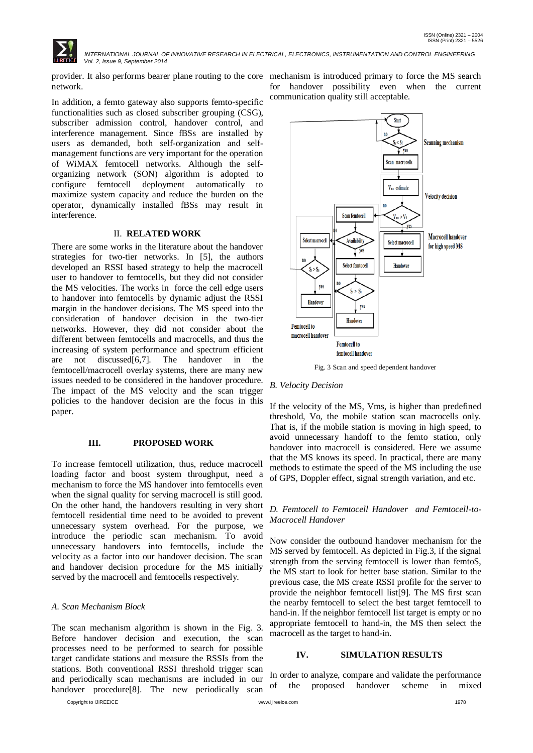

 *INTERNATIONAL JOURNAL OF INNOVATIVE RESEARCH IN ELECTRICAL, ELECTRONICS, INSTRUMENTATION AND CONTROL ENGINEERING Vol. 2, Issue 9, September 2014*

network.

In addition, a femto gateway also supports femto-specific functionalities such as closed subscriber grouping (CSG), subscriber admission control, handover control, and interference management. Since fBSs are installed by users as demanded, both self-organization and selfmanagement functions are very important for the operation of WiMAX femtocell networks. Although the selforganizing network (SON) algorithm is adopted to configure femtocell deployment automatically to maximize system capacity and reduce the burden on the operator, dynamically installed fBSs may result in interference.

## II. **RELATED WORK**

There are some works in the literature about the handover strategies for two-tier networks. In [5], the authors developed an RSSI based strategy to help the macrocell user to handover to femtocells, but they did not consider the MS velocities. The works in force the cell edge users to handover into femtocells by dynamic adjust the RSSI margin in the handover decisions. The MS speed into the consideration of handover decision in the two-tier networks. However, they did not consider about the different between femtocells and macrocells, and thus the increasing of system performance and spectrum efficient are not discussed[6,7]. The handover in the femtocell/macrocell overlay systems, there are many new issues needed to be considered in the handover procedure. The impact of the MS velocity and the scan trigger policies to the handover decision are the focus in this paper.

## **III. PROPOSED WORK**

To increase femtocell utilization, thus, reduce macrocell loading factor and boost system throughput, need a mechanism to force the MS handover into femtocells even when the signal quality for serving macrocell is still good. On the other hand, the handovers resulting in very short femtocell residential time need to be avoided to prevent unnecessary system overhead. For the purpose, we introduce the periodic scan mechanism. To avoid unnecessary handovers into femtocells, include the velocity as a factor into our handover decision. The scan and handover decision procedure for the MS initially served by the macrocell and femtocells respectively.

#### *A. Scan Mechanism Block*

The scan mechanism algorithm is shown in the Fig. 3. Before handover decision and execution, the scan processes need to be performed to search for possible target candidate stations and measure the RSSIs from the stations. Both conventional RSSI threshold trigger scan and periodically scan mechanisms are included in our handover procedure<sup>[8]</sup>. The new periodically scan

Copyright to IJIREEICE [www.ijireeice.com](http://www.ijireeice.com/) 1978

provider. It also performs bearer plane routing to the core mechanism is introduced primary to force the MS search for handover possibility even when the current communication quality still acceptable.



Fig. 3 Scan and speed dependent handover

#### *B. Velocity Decision*

If the velocity of the MS, Vms, is higher than predefined threshold, Vo, the mobile station scan macrocells only. That is, if the mobile station is moving in high speed, to avoid unnecessary handoff to the femto station, only handover into macrocell is considered. Here we assume that the MS knows its speed. In practical, there are many methods to estimate the speed of the MS including the use of GPS, Doppler effect, signal strength variation, and etc.

## *D. Femtocell to Femtocell Handover and Femtocell-to-Macrocell Handover*

Now consider the outbound handover mechanism for the MS served by femtocell. As depicted in Fig.3, if the signal strength from the serving femtocell is lower than femtoS, the MS start to look for better base station. Similar to the previous case, the MS create RSSI profile for the server to provide the neighbor femtocell list[9]. The MS first scan the nearby femtocell to select the best target femtocell to hand-in. If the neighbor femtocell list target is empty or no appropriate femtocell to hand-in, the MS then select the macrocell as the target to hand-in.

#### **IV. SIMULATION RESULTS**

In order to analyze, compare and validate the performance of the proposed handover scheme in mixed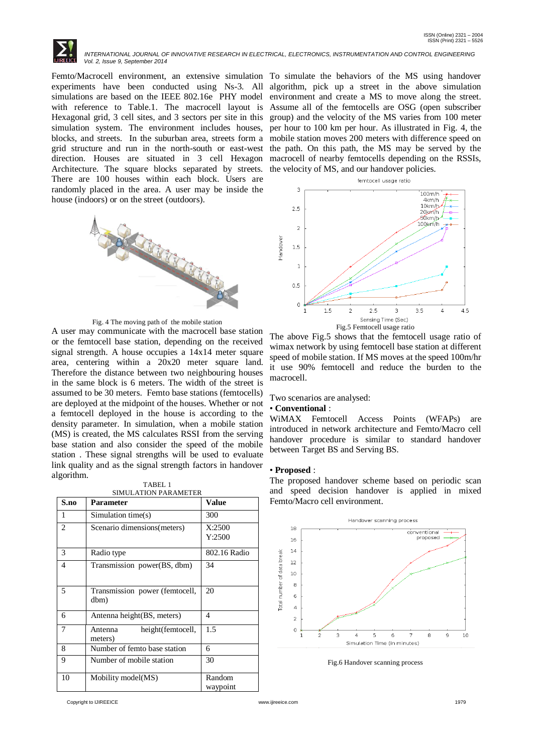

 *INTERNATIONAL JOURNAL OF INNOVATIVE RESEARCH IN ELECTRICAL, ELECTRONICS, INSTRUMENTATION AND CONTROL ENGINEERING Vol. 2, Issue 9, September 2014*

Femto/Macrocell environment, an extensive simulation To simulate the behaviors of the MS using handover experiments have been conducted using Ns-3. All simulations are based on the IEEE 802.16e PHY model with reference to Table.1. The macrocell layout is Hexagonal grid, 3 cell sites, and 3 sectors per site in this simulation system. The environment includes houses, blocks, and streets. In the suburban area, streets form a grid structure and run in the north-south or east-west direction. Houses are situated in 3 cell Hexagon macrocell of nearby femtocells depending on the RSSIs, Architecture. The square blocks separated by streets. There are 100 houses within each block. Users are randomly placed in the area. A user may be inside the house (indoors) or on the street (outdoors).



Fig. 4 The moving path of the mobile station

A user may communicate with the macrocell base station or the femtocell base station, depending on the received signal strength. A house occupies a 14x14 meter square area, centering within a 20x20 meter square land. Therefore the distance between two neighbouring houses in the same block is 6 meters. The width of the street is assumed to be 30 meters. Femto base stations (femtocells) are deployed at the midpoint of the houses. Whether or not a femtocell deployed in the house is according to the density parameter. In simulation, when a mobile station (MS) is created, the MS calculates RSSI from the serving base station and also consider the speed of the mobile station . These signal strengths will be used to evaluate link quality and as the signal strength factors in handover algorithm.

TABEL 1

| S.no           | <b>Parameter</b>                        | Value              |
|----------------|-----------------------------------------|--------------------|
| 1              | Simulation time(s)                      | 300                |
| $\overline{2}$ | Scenario dimensions (meters)            | X:2500<br>Y:2500   |
| 3              | Radio type                              | 802.16 Radio       |
| 4              | Transmission power(BS, dbm)             | 34                 |
| 5              | Transmission power (femtocell,<br>dbm)  | 20                 |
| 6              | Antenna height (BS, meters)             | 4                  |
| 7              | height(femtocell,<br>Antenna<br>meters) | 1.5                |
| 8              | Number of femto base station            | 6                  |
| 9              | Number of mobile station                | 30                 |
| 10             | Mobility model(MS)                      | Random<br>waypoint |

algorithm, pick up a street in the above simulation environment and create a MS to move along the street. Assume all of the femtocells are OSG (open subscriber group) and the velocity of the MS varies from 100 meter per hour to 100 km per hour. As illustrated in Fig. 4, the mobile station moves 200 meters with difference speed on the path. On this path, the MS may be served by the the velocity of MS, and our handover policies.





The above Fig.5 shows that the femtocell usage ratio of wimax network by using femtocell base station at different speed of mobile station. If MS moves at the speed 100m/hr it use 90% femtocell and reduce the burden to the macrocell.

Two scenarios are analysed:

## • **Conventional** :

WiMAX Femtocell Access Points (WFAPs) are introduced in network architecture and Femto/Macro cell handover procedure is similar to standard handover between Target BS and Serving BS.

#### • **Proposed** :

The proposed handover scheme based on periodic scan and speed decision handover is applied in mixed Femto/Macro cell environment.



Fig.6 Handover scanning process

Copyright to IJIREEICE [www.ijireeice.com](http://www.ijireeice.com/) 1979